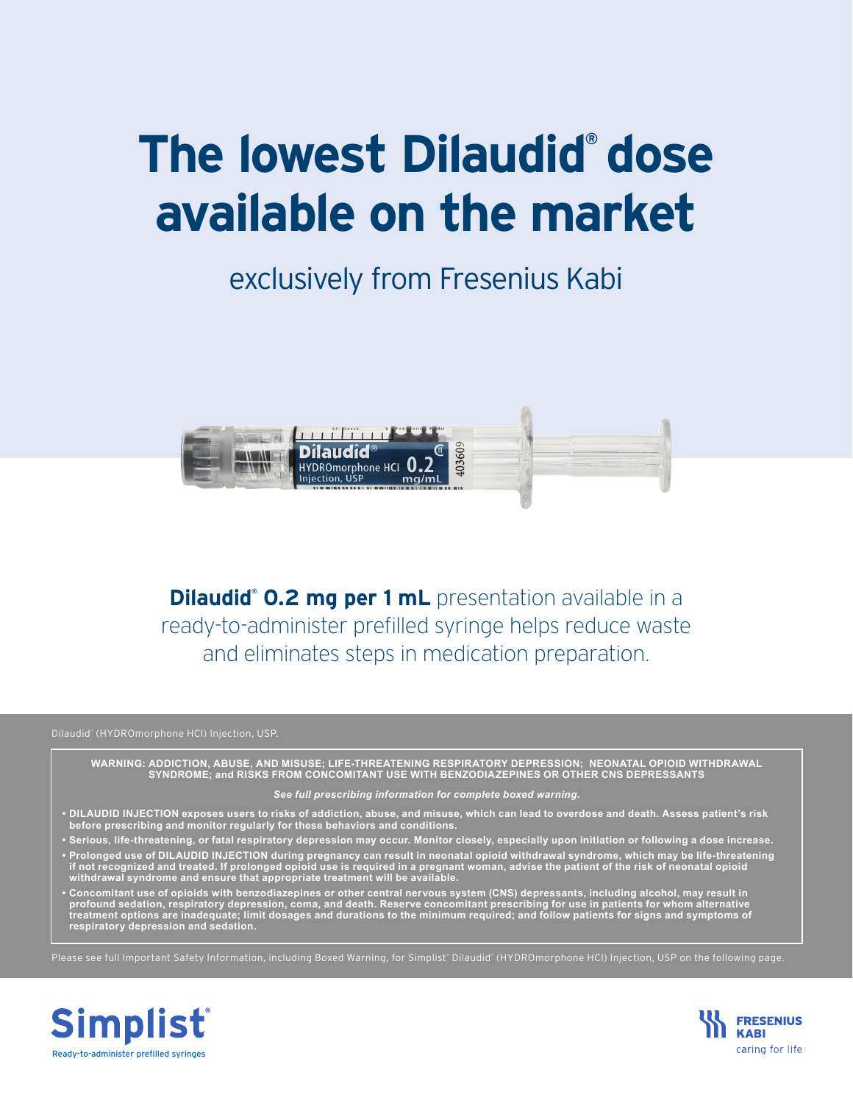## **The lowest Dilaudid® dose available on the market**

## exclusively from Fresenius Kabi



**Dilaudid<sup>®</sup> 0.2 mg per 1 mL** presentation available in a ready-to-administer prefilled syringe helps reduce waste and eliminates steps in medication preparation.

Dilaudid® (HYDROmorphone HCl) Injection, USP.

**WARNING: ADDICTION, ABUSE, AND MISUSE; LIFE-THREATENING RESPIRATORY DEPRESSION; NEONATAL OPIOID WITHDRAWAL SYNDROME; and RISKS FROM CONCOMITANT USE WITH BENZODIAZEPINES OR OTHER CNS DEPRESSANTS**

## *See full prescribing information for complete boxed warning.*

- **• DILAUDID INJECTION exposes users to risks of addiction, abuse, and misuse, which can lead to overdose and death. Assess patient's risk before prescribing and monitor regularly for these behaviors and conditions.**
- **• Serious, life-threatening, or fatal respiratory depression may occur. Monitor closely, especially upon initiation or following a dose increase. • Prolonged use of DILAUDID INJECTION during pregnancy can result in neonatal opioid withdrawal syndrome, which may be life-threatening**
- **if not recognized and treated. If prolonged opioid use is required in a pregnant woman, advise the patient of the risk of neonatal opioid withdrawal syndrome and ensure that appropriate treatment will be available.**
- **• Concomitant use of opioids with benzodiazepines or other central nervous system (CNS) depressants, including alcohol, may result in profound sedation, respiratory depression, coma, and death. Reserve concomitant prescribing for use in patients for whom alternative treatment options are inadequate; limit dosages and durations to the minimum required; and follow patients for signs and symptoms of respiratory depression and sedation.**

Please see full Important Safety Information, including Boxed Warning, for Simplist®Dilaudid® (HYDROmorphone HCl) Injection, USP on the following page.